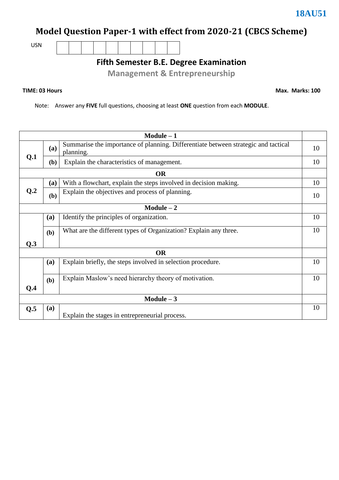# **Model Question Paper-1 with effect from 2020-21 (CBCS Scheme)**

USN

**Fifth Semester B.E. Degree Examination**

**Management & Entrepreneurship**

### **TIME: 03 Hours**

**Max. Marks: 100**

Note: Answer any **FIVE** full questions, choosing at least **ONE** question from each **MODULE**.

| $Module - 1$ |            |                                                                                                 |    |  |
|--------------|------------|-------------------------------------------------------------------------------------------------|----|--|
| Q.1          | (a)        | Summarise the importance of planning. Differentiate between strategic and tactical<br>planning. | 10 |  |
|              | (b)        | Explain the characteristics of management.                                                      | 10 |  |
|              |            | <b>OR</b>                                                                                       |    |  |
|              | (a)        | With a flowchart, explain the steps involved in decision making.                                | 10 |  |
| Q.2          | (b)        | Explain the objectives and process of planning.                                                 | 10 |  |
|              |            | $Module - 2$                                                                                    |    |  |
|              | (a)        | Identify the principles of organization.                                                        | 10 |  |
|              | (b)        | What are the different types of Organization? Explain any three.                                | 10 |  |
| Q.3          |            |                                                                                                 |    |  |
| <b>OR</b>    |            |                                                                                                 |    |  |
|              | (a)        | Explain briefly, the steps involved in selection procedure.                                     | 10 |  |
|              | (b)        | Explain Maslow's need hierarchy theory of motivation.                                           | 10 |  |
| Q.4          |            |                                                                                                 |    |  |
| Module $-3$  |            |                                                                                                 |    |  |
| Q.5          | <b>(a)</b> |                                                                                                 | 10 |  |
|              |            | Explain the stages in entrepreneurial process.                                                  |    |  |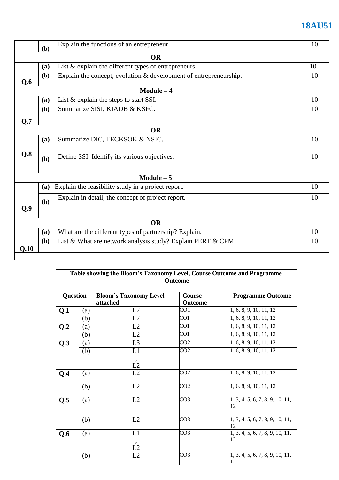# **18AU51**

|           | (b)       | Explain the functions of an entrepreneur.                         | 10 |  |  |
|-----------|-----------|-------------------------------------------------------------------|----|--|--|
|           | <b>OR</b> |                                                                   |    |  |  |
|           | (a)       | List $&$ explain the different types of entrepreneurs.            | 10 |  |  |
| Q.6       | (b)       | Explain the concept, evolution & development of entrepreneurship. | 10 |  |  |
|           |           | $Module - 4$                                                      |    |  |  |
|           | (a)       | List $&$ explain the steps to start SSI.                          | 10 |  |  |
|           | (b)       | Summarize SISI, KIADB & KSFC.                                     | 10 |  |  |
| Q.7       |           |                                                                   |    |  |  |
|           |           | <b>OR</b>                                                         |    |  |  |
|           | (a)       | Summarize DIC, TECKSOK & NSIC.                                    | 10 |  |  |
|           |           |                                                                   |    |  |  |
| Q.8       | (b)       | Define SSI. Identify its various objectives.                      | 10 |  |  |
|           |           | $Module - 5$                                                      |    |  |  |
|           | (a)       | Explain the feasibility study in a project report.                | 10 |  |  |
| Q.9       | (b)       | Explain in detail, the concept of project report.                 | 10 |  |  |
| <b>OR</b> |           |                                                                   |    |  |  |
|           | (a)       | What are the different types of partnership? Explain.             | 10 |  |  |
| Q.10      | (b)       | List & What are network analysis study? Explain PERT & CPM.       | 10 |  |  |
|           |           |                                                                   |    |  |  |

| Table showing the Bloom's Taxonomy Level, Course Outcome and Programme<br>Outcome |     |                                           |                   |                                       |  |
|-----------------------------------------------------------------------------------|-----|-------------------------------------------|-------------------|---------------------------------------|--|
| <b>Question</b>                                                                   |     | <b>Bloom's Taxonomy Level</b><br>attached | Course<br>Outcome | <b>Programme Outcome</b>              |  |
| Q <sub>1</sub>                                                                    | (a) | L2                                        | CO1               | 1, 6, 8, 9, 10, 11, 12                |  |
|                                                                                   | (b) | L2                                        | CO1               | 1, 6, 8, 9, 10, 11, 12                |  |
| Q <sub>.2</sub>                                                                   | (a) | L2                                        | CO1               | 1, 6, 8, 9, 10, 11, 12                |  |
|                                                                                   | (b) | L2                                        | CO1               | 1, 6, 8, 9, 10, 11, 12                |  |
| Q.3                                                                               | (a) | L <sub>3</sub>                            | CO <sub>2</sub>   | 1, 6, 8, 9, 10, 11, 12                |  |
|                                                                                   | (b) | L1                                        | CO <sub>2</sub>   | 1, 6, 8, 9, 10, 11, 12                |  |
|                                                                                   |     | $\overline{\phantom{a}}$<br>L2            |                   |                                       |  |
| Q.4                                                                               | (a) | L2                                        | CO <sub>2</sub>   | 1, 6, 8, 9, 10, 11, 12                |  |
|                                                                                   | (b) | L2                                        | CO <sub>2</sub>   | 1, 6, 8, 9, 10, 11, 12                |  |
| Q.5                                                                               | (a) | L2                                        | CO <sub>3</sub>   | 1, 3, 4, 5, 6, 7, 8, 9, 10, 11,<br>12 |  |
|                                                                                   | (b) | L2                                        | CO <sub>3</sub>   | 1, 3, 4, 5, 6, 7, 8, 9, 10, 11,<br>12 |  |
| Q.6                                                                               | (a) | L1                                        | CO <sub>3</sub>   | 1, 3, 4, 5, 6, 7, 8, 9, 10, 11,<br>12 |  |
|                                                                                   | (b) | L2<br>L2                                  | CO <sub>3</sub>   | 1, 3, 4, 5, 6, 7, 8, 9, 10, 11,<br>12 |  |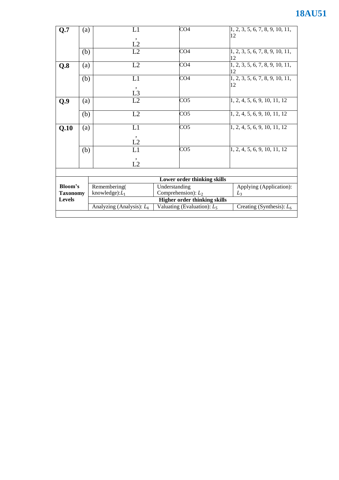# **18AU51**

| Q.7                                         | (a) | L1                                  | CO <sub>4</sub>               | [1, 2, 3, 5, 6, 7, 8, 9, 10, 11,      |  |
|---------------------------------------------|-----|-------------------------------------|-------------------------------|---------------------------------------|--|
|                                             |     |                                     |                               | 12                                    |  |
|                                             |     | L2                                  |                               |                                       |  |
|                                             | (b) | L2                                  | CO4                           | 1, 2, 3, 5, 6, 7, 8, 9, 10, 11,       |  |
|                                             |     |                                     |                               | 12                                    |  |
| Q.8                                         | (a) | L2                                  | CO <sub>4</sub>               | 1, 2, 3, 5, 6, 7, 8, 9, 10, 11,<br>12 |  |
|                                             | (b) | L1                                  | CO <sub>4</sub>               | 1, 2, 3, 5, 6, 7, 8, 9, 10, 11,       |  |
|                                             |     |                                     |                               | 12                                    |  |
|                                             |     | L <sub>3</sub>                      |                               |                                       |  |
| Q.9                                         | (a) | L2                                  | CO <sub>5</sub>               | 1, 2, 4, 5, 6, 9, 10, 11, 12          |  |
|                                             |     |                                     |                               |                                       |  |
|                                             | (b) | L2                                  | CO <sub>5</sub>               | 1, 2, 4, 5, 6, 9, 10, 11, 12          |  |
| Q.10                                        | (a) | L1                                  | CO <sub>5</sub>               | 1, 2, 4, 5, 6, 9, 10, 11, 12          |  |
|                                             |     |                                     |                               |                                       |  |
|                                             |     | L2                                  |                               |                                       |  |
|                                             | (b) | L1                                  | CO5                           | 1, 2, 4, 5, 6, 9, 10, 11, 12          |  |
|                                             |     | $\overline{\phantom{a}}$            |                               |                                       |  |
|                                             |     | L2                                  |                               |                                       |  |
|                                             |     |                                     |                               |                                       |  |
|                                             |     | <b>Lower order thinking skills</b>  |                               |                                       |  |
| Bloom's<br><b>Taxonomy</b><br><b>Levels</b> |     | Remembering(                        | Understanding                 | Applying (Application):               |  |
|                                             |     | knowledge): $L_1$                   | Comprehension): $L_2$         | $L_3$                                 |  |
|                                             |     | <b>Higher order thinking skills</b> |                               |                                       |  |
|                                             |     | Analyzing (Analysis): $L_4$         | Valuating (Evaluation): $L_5$ | Creating (Synthesis): $L_6$           |  |
|                                             |     |                                     |                               |                                       |  |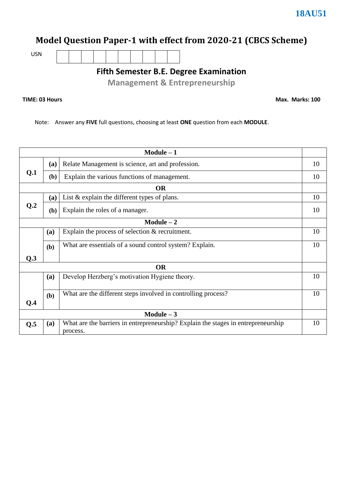### **Model Question Paper-1 with effect from 2020-21 (CBCS Scheme)**

USN

**Fifth Semester B.E. Degree Examination**

**Management & Entrepreneurship**

### **TIME: 03 Hours**

**Max. Marks: 100**

Note: Answer any **FIVE** full questions, choosing at least **ONE** question from each **MODULE**.

| $Module - 1$    |           |                                                                                               |    |  |  |  |  |
|-----------------|-----------|-----------------------------------------------------------------------------------------------|----|--|--|--|--|
|                 | (a)       | Relate Management is science, art and profession.                                             | 10 |  |  |  |  |
| Q <sub>1</sub>  | (b)       | Explain the various functions of management.                                                  | 10 |  |  |  |  |
|                 |           | <b>OR</b>                                                                                     |    |  |  |  |  |
|                 | (a)       | List $&$ explain the different types of plans.                                                | 10 |  |  |  |  |
| Q <sub>.2</sub> | (b)       | Explain the roles of a manager.                                                               | 10 |  |  |  |  |
|                 |           | $Module - 2$                                                                                  |    |  |  |  |  |
|                 | (a)       | Explain the process of selection $&$ recruitment.                                             | 10 |  |  |  |  |
|                 | (b)       | What are essentials of a sound control system? Explain.                                       | 10 |  |  |  |  |
| Q.3             |           |                                                                                               |    |  |  |  |  |
|                 | <b>OR</b> |                                                                                               |    |  |  |  |  |
|                 | (a)       | Develop Herzberg's motivation Hygiene theory.                                                 | 10 |  |  |  |  |
| Q.4             | (b)       | What are the different steps involved in controlling process?                                 | 10 |  |  |  |  |
| $Module - 3$    |           |                                                                                               |    |  |  |  |  |
| Q.5             | (a)       | What are the barriers in entrepreneurship? Explain the stages in entrepreneurship<br>process. | 10 |  |  |  |  |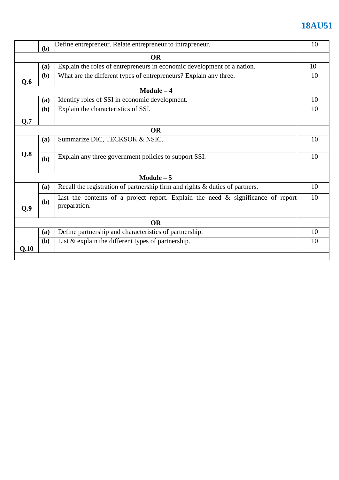# **18AU51**

|             | (b) | Define entrepreneur. Relate entrepreneur to intrapreneur.                                           |    |  |
|-------------|-----|-----------------------------------------------------------------------------------------------------|----|--|
| <b>OR</b>   |     |                                                                                                     |    |  |
|             | (a) | Explain the roles of entrepreneurs in economic development of a nation.                             | 10 |  |
| Q.6         | (b) | What are the different types of entrepreneurs? Explain any three.                                   | 10 |  |
|             |     | $Module - 4$                                                                                        |    |  |
|             | (a) | Identify roles of SSI in economic development.                                                      | 10 |  |
|             | (b) | Explain the characteristics of SSI.                                                                 | 10 |  |
| Q.7         |     |                                                                                                     |    |  |
|             |     | <b>OR</b>                                                                                           |    |  |
|             | (a) | Summarize DIC, TECKSOK & NSIC.                                                                      | 10 |  |
| Q.8         | (b) | Explain any three government policies to support SSI.                                               | 10 |  |
| Module $-5$ |     |                                                                                                     |    |  |
|             | (a) | Recall the registration of partnership firm and rights & duties of partners.                        | 10 |  |
| Q.9         | (b) | List the contents of a project report. Explain the need $\&$ significance of report<br>preparation. | 10 |  |
| <b>OR</b>   |     |                                                                                                     |    |  |
|             | (a) | Define partnership and characteristics of partnership.                                              | 10 |  |
| Q.10        | (b) | List $&$ explain the different types of partnership.                                                | 10 |  |
|             |     |                                                                                                     |    |  |